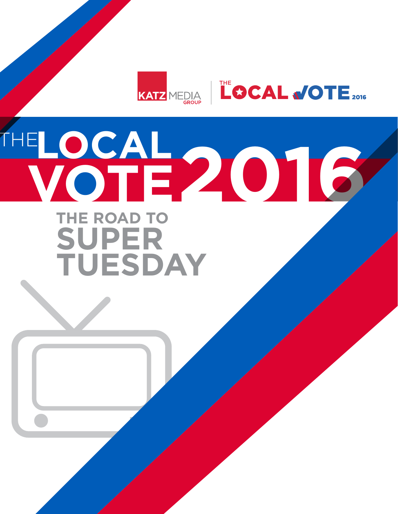

# **THE ROAD TO 2016 SUPER TUESDAY** THE**LOCAL VOTE**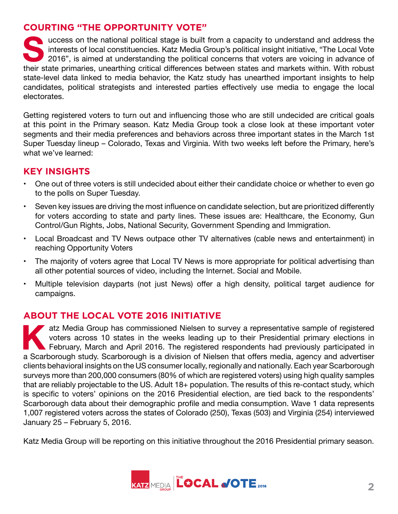#### **COURTING "THE OPPORTUNITY VOTE"**

Interests of local constituencies. Katz Media Group's political insight initiative, "The Local Vote 2016", is aimed at understanding the political concerns that voters are voicing in advance of their state primaries, unear interests of local constituencies. Katz Media Group's political insight initiative, "The Local Vote 2016", is aimed at understanding the political concerns that voters are voicing in advance of state-level data linked to media behavior, the Katz study has unearthed important insights to help candidates, political strategists and interested parties effectively use media to engage the local electorates.

Getting registered voters to turn out and influencing those who are still undecided are critical goals at this point in the Primary season. Katz Media Group took a close look at these important voter segments and their media preferences and behaviors across three important states in the March 1st Super Tuesday lineup – Colorado, Texas and Virginia. With two weeks left before the Primary, here's what we've learned:

#### **KEY INSIGHTS**

- One out of three voters is still undecided about either their candidate choice or whether to even go to the polls on Super Tuesday.
- Seven key issues are driving the most influence on candidate selection, but are prioritized differently for voters according to state and party lines. These issues are: Healthcare, the Economy, Gun Control/Gun Rights, Jobs, National Security, Government Spending and Immigration.
- Local Broadcast and TV News outpace other TV alternatives (cable news and entertainment) in reaching Opportunity Voters
- The majority of voters agree that Local TV News is more appropriate for political advertising than all other potential sources of video, including the Internet. Social and Mobile.
- Multiple television dayparts (not just News) offer a high density, political target audience for campaigns.

#### **ABOUT THE LOCAL VOTE 2016 INITIATIVE**

ARA atz Media Group has commissioned Nielsen to survey a representative sample of registered voters across 10 states in the weeks leading up to their Presidential primary elections in a Scarborough study. Scarborough is a voters across 10 states in the weeks leading up to their Presidential primary elections in February, March and April 2016. The registered respondents had previously participated in clients behavioral insights on the US consumer locally, regionally and nationally. Each year Scarborough surveys more than 200,000 consumers (80% of which are registered voters) using high quality samples that are reliably projectable to the US. Adult 18+ population. The results of this re-contact study, which is specific to voters' opinions on the 2016 Presidential election, are tied back to the respondents' Scarborough data about their demographic profile and media consumption. Wave 1 data represents 1,007 registered voters across the states of Colorado (250), Texas (503) and Virginia (254) interviewed January 25 – February 5, 2016.

Katz Media Group will be reporting on this initiative throughout the 2016 Presidential primary season.

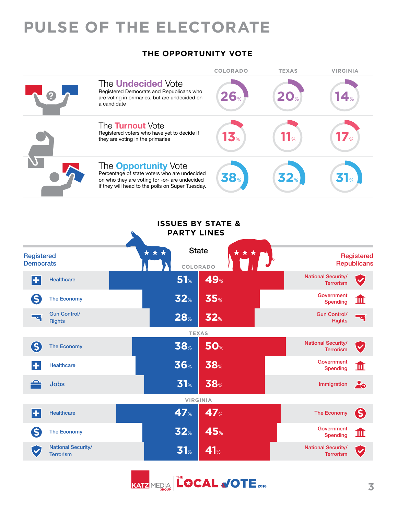## **PULSE OF THE ELECTORATE**

#### **THE OPPORTUNITY VOTE**





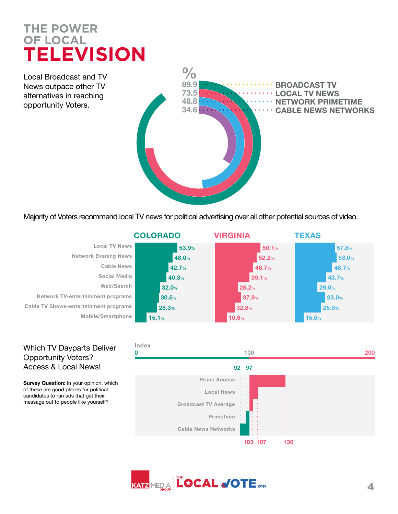## **THE POWER OF LOCAL TELEVISION**

Local Broadcast and TV News outpace other TV alternatives in reaching opportunity Voters.



Majority of Voters recommend local TV news for political advertising over all other potential sources of video.

|                                              | <b>COLORADO</b> | <b>VIRGINIA</b> | <b>TEXAS</b> |
|----------------------------------------------|-----------------|-----------------|--------------|
| <b>Local TV News</b>                         | 53.9%           | 50.1%           | 57.8%        |
| <b>Network Evening News</b>                  | 48.0%           | 52.2%           | 53.0%        |
| <b>Cable News</b>                            | 42.7%           | 46.7%           | 48.7%        |
| Social Media                                 | <b>40.3%</b>    | 39.1%           | 43.7%        |
| Web/Search                                   | 32.0%           | 28.2%           | 29.0%        |
| Network TV-entertainment programs            | 30.6%           | 37.9%           | 33.0%        |
| <b>Cable TV Shows-entertainment programs</b> | 28.3%           | 32.8%           | 25.0%        |
| Mobile/Smartphone                            | 15.1%           | 10.6%           | 15.0%        |

#### Which TV Dayparts Deliver Opportunity Voters? Access & Local News!

**Survey Question:** In your opinion, which of these are good places for political candidates to run ads that get their message out to people like yourself?



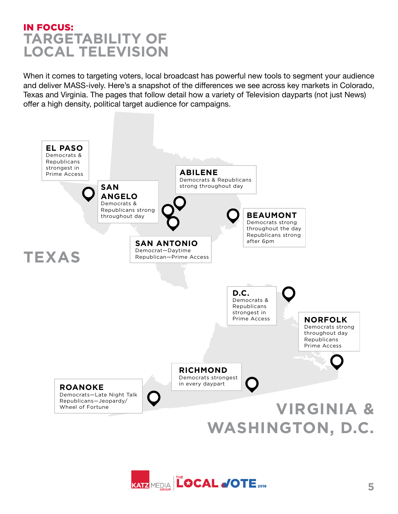#### IN FOCUS: **TARGETABILITY OF LOCAL TELEVISION**

When it comes to targeting voters, local broadcast has powerful new tools to segment your audience and deliver MASS-ively. Here's a snapshot of the differences we see across key markets in Colorado, Texas and Virginia. The pages that follow detail how a variety of Television dayparts (not just News) offer a high density, political target audience for campaigns.



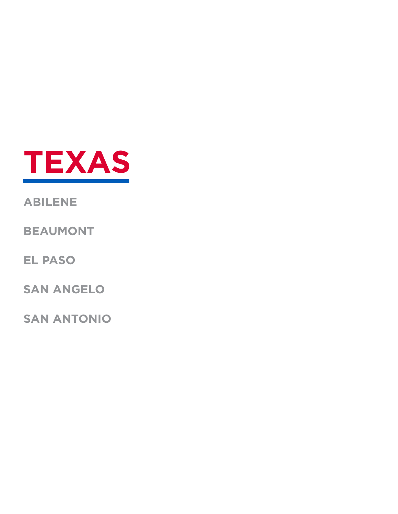

**ABILENE**

**BEAUMONT**

**EL PASO**

**SAN ANGELO**

**SAN ANTONIO**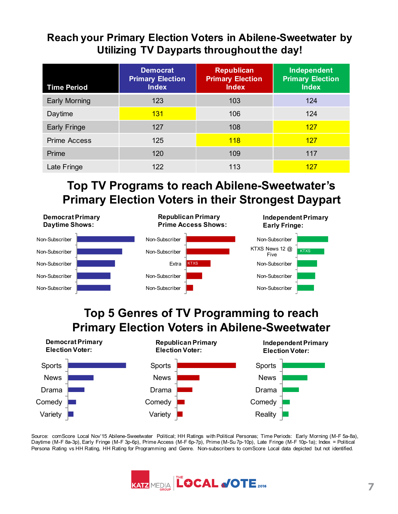#### **Reach your Primary Election Voters in Abilene-Sweetwater by Utilizing TV Dayparts throughout the day!**

| <b>Time Period</b>   | <b>Democrat</b><br><b>Primary Election</b><br><b>Index</b> | <b>Republican</b><br><b>Primary Election</b><br><b>Index</b> | <b>Independent</b><br><b>Primary Election</b><br><b>Index</b> |
|----------------------|------------------------------------------------------------|--------------------------------------------------------------|---------------------------------------------------------------|
| <b>Early Morning</b> | 123                                                        | 103                                                          | 124                                                           |
| Daytime              | 131                                                        | 106                                                          | 124                                                           |
| <b>Early Fringe</b>  | 127                                                        | 108                                                          | 127                                                           |
| <b>Prime Access</b>  | 125                                                        | <b>118</b>                                                   | 127                                                           |
| Prime                | 120                                                        | 109                                                          | 117                                                           |
| Late Fringe          | 122                                                        | 113                                                          | 127                                                           |

## **Top TV Programs to reach Abilene-Sweetwater's Primary Election Voters in their Strongest Daypart**



#### **Top 5 Genres of TV Programming to reach Primary Election Voters in Abilene-Sweetwater**



Source: comScore Local Nov'15 Abilene-Sweetwater Political; HH Ratings with Political Personas; Time Periods: Early Morning (M-F 5a-8a), Daytime (M-F 8a-3p), Early Fringe (M-F 3p-6p), Prime Access (M-F 6p-7p), Prime (M-Su 7p-10p), Late Fringe (M-F 10p-1a); Index = Political Persona Rating vs HH Rating, HH Rating for Programming and Genre. Non-subscribers to comScore Local data depicted but not identified.

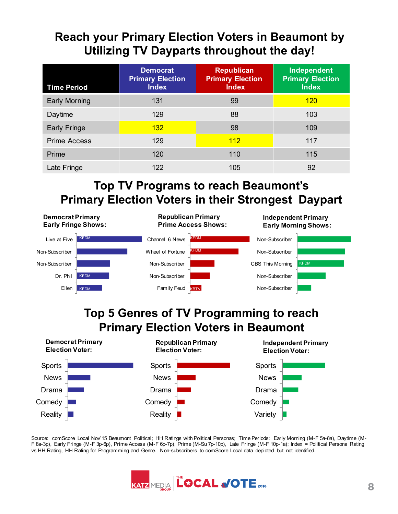#### **Reach your Primary Election Voters in Beaumont by Utilizing TV Dayparts throughout the day!**

| <b>Time Period</b>   | <b>Democrat</b><br><b>Primary Election</b><br><b>Index</b> | <b>Republican</b><br><b>Primary Election</b><br><b>Index</b> | <b>Independent</b><br><b>Primary Election</b><br><b>Index</b> |
|----------------------|------------------------------------------------------------|--------------------------------------------------------------|---------------------------------------------------------------|
| <b>Early Morning</b> | 131                                                        | 99                                                           | 120                                                           |
| Daytime              | 129                                                        | 88                                                           | 103                                                           |
| <b>Early Fringe</b>  | 132                                                        | 98                                                           | 109                                                           |
| <b>Prime Access</b>  | 129                                                        | 112                                                          | 117                                                           |
| Prime                | 120                                                        | 110                                                          | 115                                                           |
| Late Fringe          | 122                                                        | 105                                                          | 92                                                            |

#### **Top TV Programs to reach Beaumont's Primary Election Voters in their Strongest Daypart**



Source: comScore Local Nov'15 Beaumont Political; HH Ratings with Political Personas; Time Periods: Early Morning (M-F 5a-8a), Daytime (M-F 8a-3p), Early Fringe (M-F 3p-6p), Prime Access (M-F 6p-7p), Prime (M-Su 7p-10p), Late Fringe (M-F 10p-1a); Index = Political Persona Rating vs HH Rating, HH Rating for Programming and Genre. Non-subscribers to comScore Local data depicted but not identified.

Variety

**Reality** 

**Reality** 

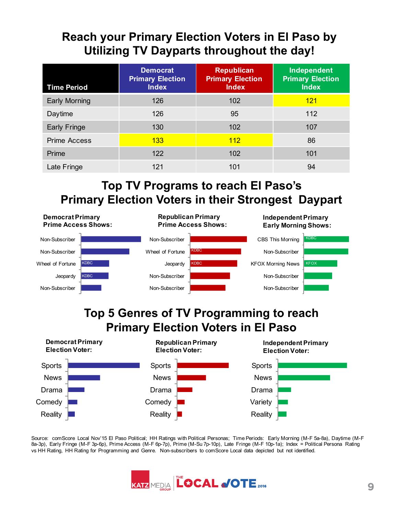#### **Reach your Primary Election Voters in El Paso by Utilizing TV Dayparts throughout the day!**

| <b>Time Period</b>   | <b>Democrat</b><br><b>Primary Election</b><br><b>Index</b> | <b>Republican</b><br><b>Primary Election</b><br><b>Index</b> | <b>Independent</b><br><b>Primary Election</b><br><b>Index</b> |
|----------------------|------------------------------------------------------------|--------------------------------------------------------------|---------------------------------------------------------------|
| <b>Early Morning</b> | 126                                                        | 102                                                          | 121                                                           |
| Daytime              | 126                                                        | 95                                                           | 112                                                           |
| <b>Early Fringe</b>  | 130                                                        | 102                                                          | 107                                                           |
| <b>Prime Access</b>  | 133                                                        | 112                                                          | 86                                                            |
| Prime                | 122                                                        | 102                                                          | 101                                                           |
| Late Fringe          | 121                                                        | 101                                                          | 94                                                            |

#### **Top TV Programs to reach El Paso's Primary Election Voters in their Strongest Daypart**



Source: comScore Local Nov'15 El Paso Political; HH Ratings with Political Personas; Time Periods: Early Morning (M-F 5a-8a), Daytime (M-F 8a-3p), Early Fringe (M-F 3p-6p), Prime Access (M-F 6p-7p), Prime (M-Su 7p-10p), Late Fringe (M-F 10p-1a); Index = Political Persona Rating vs HH Rating, HH Rating for Programming and Genre. Non-subscribers to comScore Local data depicted but not identified.

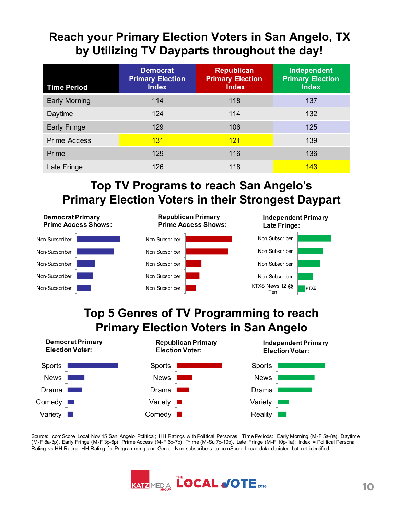#### **Reach your Primary Election Voters in San Angelo, TX by Utilizing TV Dayparts throughout the day!**

| <b>Time Period</b>   | <b>Democrat</b><br><b>Primary Election</b><br><b>Index</b> | <b>Republican</b><br><b>Primary Election</b><br><b>Index</b> | Independent<br><b>Primary Election</b><br><b>Index</b> |
|----------------------|------------------------------------------------------------|--------------------------------------------------------------|--------------------------------------------------------|
| <b>Early Morning</b> | 114                                                        | 118                                                          | 137                                                    |
| Daytime              | 124                                                        | 114                                                          | 132                                                    |
| <b>Early Fringe</b>  | 129                                                        | 106                                                          | 125                                                    |
| <b>Prime Access</b>  | <b>131</b>                                                 | 121                                                          | 139                                                    |
| Prime                | 129                                                        | 116                                                          | 136                                                    |
| Late Fringe          | 126                                                        | 118                                                          | 143                                                    |

#### **Top TV Programs to reach San Angelo's Primary Election Voters in their Strongest Daypart**



Drama Variety **Comedy** 

Drama **Comedy** Variety



Drama Variety **Reality** 

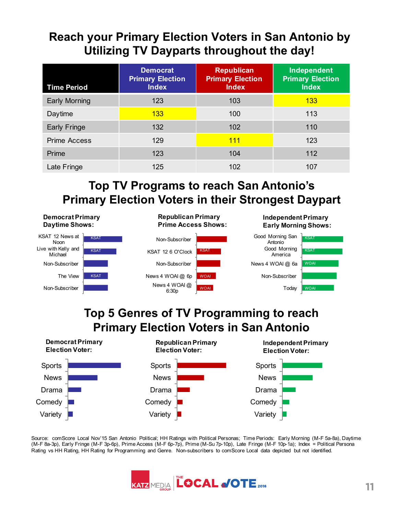#### **Reach your Primary Election Voters in San Antonio by Utilizing TV Dayparts throughout the day!**

| <b>Time Period</b>   | <b>Democrat</b><br><b>Primary Election</b><br><b>Index</b> | <b>Republican</b><br><b>Primary Election</b><br><b>Index</b> | Independent<br><b>Primary Election</b><br><b>Index</b> |
|----------------------|------------------------------------------------------------|--------------------------------------------------------------|--------------------------------------------------------|
| <b>Early Morning</b> | 123                                                        | 103                                                          | 133                                                    |
| Daytime              | 133                                                        | 100                                                          | 113                                                    |
| Early Fringe         | 132                                                        | 102                                                          | 110                                                    |
| <b>Prime Access</b>  | 129                                                        | 111                                                          | 123                                                    |
| Prime                | 123                                                        | 104                                                          | 112                                                    |
| Late Fringe          | 125                                                        | 102                                                          | 107                                                    |

#### **Top TV Programs to reach San Antonio's Primary Election Voters in their Strongest Daypart**



Source: comScore Local Nov'15 San Antonio Political; HH Ratings with Political Personas; Time Periods: Early Morning (M-F 5a-8a), Daytime (M-F 8a-3p), Early Fringe (M-F 3p-6p), Prime Access (M-F 6p-7p), Prime (M-Su 7p-10p), Late Fringe (M-F 10p-1a); Index = Political Persona Rating vs HH Rating, HH Rating for Programming and Genre. Non-subscribers to comScore Local data depicted but not identified.

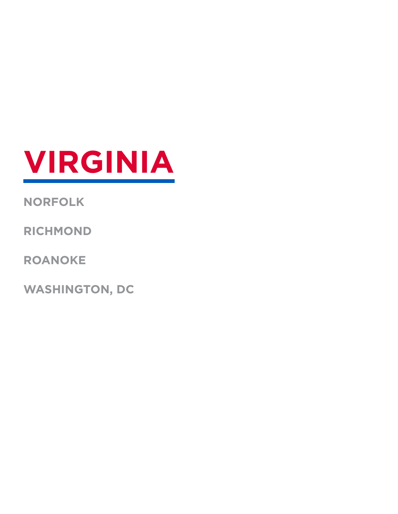

#### **NORFOLK**

**RICHMOND**

**ROANOKE**

**WASHINGTON, DC**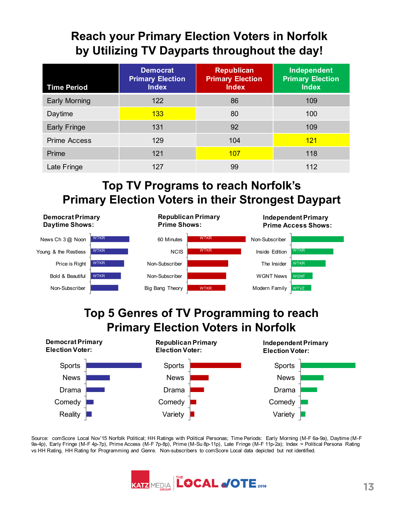## **Reach your Primary Election Voters in Norfolk by Utilizing TV Dayparts throughout the day!**

| <b>Time Period</b>   | <b>Democrat</b><br><b>Primary Election</b><br><b>Index</b> | <b>Republican</b><br><b>Primary Election</b><br><b>Index</b> | Independent<br><b>Primary Election</b><br><b>Index</b> |
|----------------------|------------------------------------------------------------|--------------------------------------------------------------|--------------------------------------------------------|
| <b>Early Morning</b> | 122                                                        | 86                                                           | 109                                                    |
| Daytime              | 133                                                        | 80                                                           | 100                                                    |
| <b>Early Fringe</b>  | 131                                                        | 92                                                           | 109                                                    |
| <b>Prime Access</b>  | 129                                                        | 104                                                          | 121                                                    |
| Prime                | 121                                                        | 107                                                          | 118                                                    |
| Late Fringe          | 127                                                        | 99                                                           | 112                                                    |

#### **Top TV Programs to reach Norfolk's Primary Election Voters in their Strongest Daypart**



Source: comScore Local Nov'15 Norfolk Political; HH Ratings with Political Personas; Time Periods: Early Morning (M-F 6a-9a), Daytime (M-F 9a-4p), Early Fringe (M-F 4p-7p), Prime Access (M-F 7p-8p), Prime (M-Su 8p-11p), Late Fringe (M-F 11p-2a); Index = Political Persona Rating vs HH Rating, HH Rating for Programming and Genre. Non-subscribers to comScore Local data depicted but not identified.

Variety

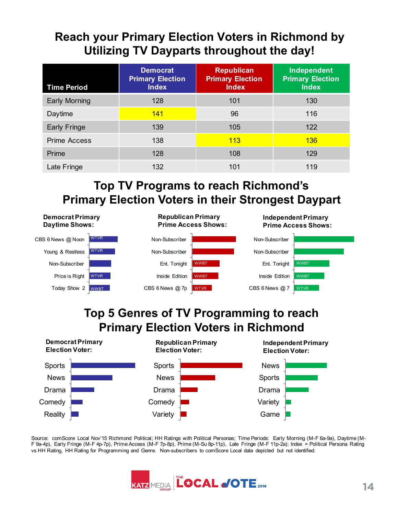#### **Reach your Primary Election Voters in Richmond by Utilizing TV Dayparts throughout the day!**

| <b>Time Period</b>   | <b>Democrat</b><br><b>Primary Election</b><br><b>Index</b> | <b>Republican</b><br><b>Primary Election</b><br><b>Index</b> | <b>Independent</b><br><b>Primary Election</b><br><b>Index</b> |
|----------------------|------------------------------------------------------------|--------------------------------------------------------------|---------------------------------------------------------------|
| <b>Early Morning</b> | 128                                                        | 101                                                          | 130                                                           |
| Daytime              | 141                                                        | 96                                                           | 116                                                           |
| Early Fringe         | 139                                                        | 105                                                          | 122                                                           |
| <b>Prime Access</b>  | 138                                                        | 113                                                          | <b>136</b>                                                    |
| Prime                | 128                                                        | 108                                                          | 129                                                           |
| Late Fringe          | 132                                                        | 101                                                          | 119                                                           |

#### **Top TV Programs to reach Richmond's Primary Election Voters in their Strongest Daypart**



Source: comScore Local Nov'15 Richmond Political; HH Ratings with Political Personas; Time Periods: Early Morning (M-F 6a-9a), Daytime (M-F 9a-4p), Early Fringe (M-F 4p-7p), Prime Access (M-F 7p-8p), Prime (M-Su 8p-11p), Late Fringe (M-F 11p-2a); Index = Political Persona Rating vs HH Rating, HH Rating for Programming and Genre. Non-subscribers to comScore Local data depicted but not identified.

Game

Variety

**Reality** 

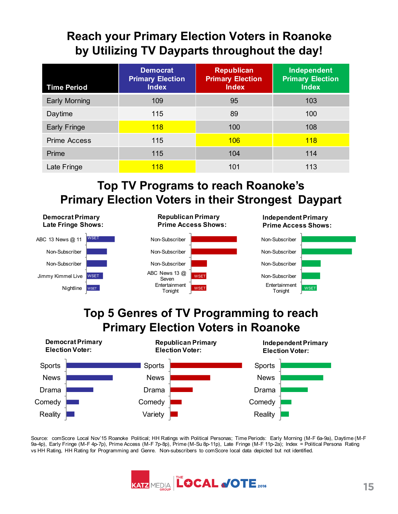## **Reach your Primary Election Voters in Roanoke by Utilizing TV Dayparts throughout the day!**

| <b>Time Period</b>   | <b>Democrat</b><br><b>Primary Election</b><br><b>Index</b> | <b>Republican</b><br><b>Primary Election</b><br><b>Index</b> | <b>Independent</b><br><b>Primary Election</b><br><b>Index</b> |
|----------------------|------------------------------------------------------------|--------------------------------------------------------------|---------------------------------------------------------------|
| <b>Early Morning</b> | 109                                                        | 95                                                           | 103                                                           |
| Daytime              | 115                                                        | 89                                                           | 100                                                           |
| <b>Early Fringe</b>  | <b>118</b>                                                 | 100                                                          | 108                                                           |
| <b>Prime Access</b>  | 115                                                        | 106                                                          | <b>118</b>                                                    |
| Prime                | 115                                                        | 104                                                          | 114                                                           |
| Late Fringe          | <b>118</b>                                                 | 101                                                          | 113                                                           |

#### **Top TV Programs to reach Roanoke's Primary Election Voters in their Strongest Daypart**





Source: comScore Local Nov'15 Roanoke Political; HH Ratings with Political Personas; Time Periods: Early Morning (M-F 6a-9a), Daytime (M-F 9a-4p), Early Fringe (M-F 4p-7p), Prime Access (M-F 7p-8p), Prime (M-Su 8p-11p), Late Fringe (M-F 11p-2a); Index = Political Persona Rating vs HH Rating, HH Rating for Programming and Genre. Non-subscribers to comScore local data depicted but not identified.